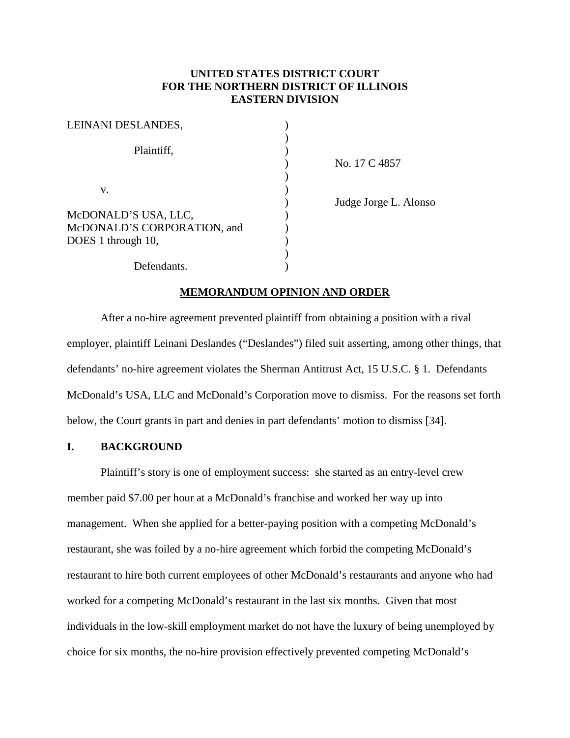# **UNITED STATES DISTRICT COURT FOR THE NORTHERN DISTRICT OF ILLINOIS EASTERN DIVISION**

| LEINANI DESLANDES,          |  |
|-----------------------------|--|
|                             |  |
| Plaintiff,                  |  |
|                             |  |
|                             |  |
| v.                          |  |
|                             |  |
| McDONALD'S USA, LLC,        |  |
| McDONALD'S CORPORATION, and |  |
| DOES 1 through 10,          |  |
|                             |  |
| Defendants.                 |  |

) No. 17 C 4857

) Judge Jorge L. Alonso

#### **MEMORANDUM OPINION AND ORDER**

After a no-hire agreement prevented plaintiff from obtaining a position with a rival employer, plaintiff Leinani Deslandes ("Deslandes") filed suit asserting, among other things, that defendants' no-hire agreement violates the Sherman Antitrust Act, 15 U.S.C. § 1. Defendants McDonald's USA, LLC and McDonald's Corporation move to dismiss. For the reasons set forth below, the Court grants in part and denies in part defendants' motion to dismiss [34].

## **I. BACKGROUND**

Plaintiff's story is one of employment success: she started as an entry-level crew member paid \$7.00 per hour at a McDonald's franchise and worked her way up into management. When she applied for a better-paying position with a competing McDonald's restaurant, she was foiled by a no-hire agreement which forbid the competing McDonald's restaurant to hire both current employees of other McDonald's restaurants and anyone who had worked for a competing McDonald's restaurant in the last six months. Given that most individuals in the low-skill employment market do not have the luxury of being unemployed by choice for six months, the no-hire provision effectively prevented competing McDonald's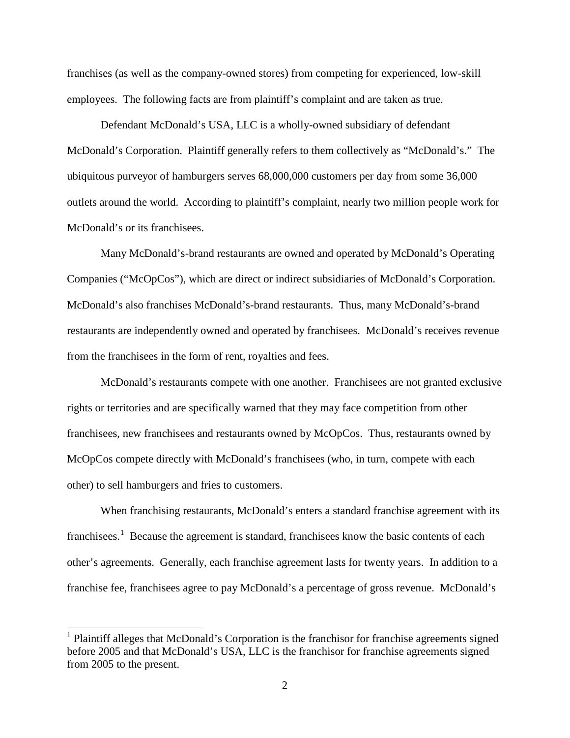franchises (as well as the company-owned stores) from competing for experienced, low-skill employees. The following facts are from plaintiff's complaint and are taken as true.

Defendant McDonald's USA, LLC is a wholly-owned subsidiary of defendant McDonald's Corporation. Plaintiff generally refers to them collectively as "McDonald's." The ubiquitous purveyor of hamburgers serves 68,000,000 customers per day from some 36,000 outlets around the world. According to plaintiff's complaint, nearly two million people work for McDonald's or its franchisees.

Many McDonald's-brand restaurants are owned and operated by McDonald's Operating Companies ("McOpCos"), which are direct or indirect subsidiaries of McDonald's Corporation. McDonald's also franchises McDonald's-brand restaurants. Thus, many McDonald's-brand restaurants are independently owned and operated by franchisees. McDonald's receives revenue from the franchisees in the form of rent, royalties and fees.

McDonald's restaurants compete with one another. Franchisees are not granted exclusive rights or territories and are specifically warned that they may face competition from other franchisees, new franchisees and restaurants owned by McOpCos. Thus, restaurants owned by McOpCos compete directly with McDonald's franchisees (who, in turn, compete with each other) to sell hamburgers and fries to customers.

When franchising restaurants, McDonald's enters a standard franchise agreement with its franchisees.<sup>[1](#page-1-0)</sup> Because the agreement is standard, franchisees know the basic contents of each other's agreements. Generally, each franchise agreement lasts for twenty years. In addition to a franchise fee, franchisees agree to pay McDonald's a percentage of gross revenue. McDonald's

<span id="page-1-0"></span><sup>&</sup>lt;sup>1</sup> Plaintiff alleges that McDonald's Corporation is the franchisor for franchise agreements signed before 2005 and that McDonald's USA, LLC is the franchisor for franchise agreements signed from 2005 to the present.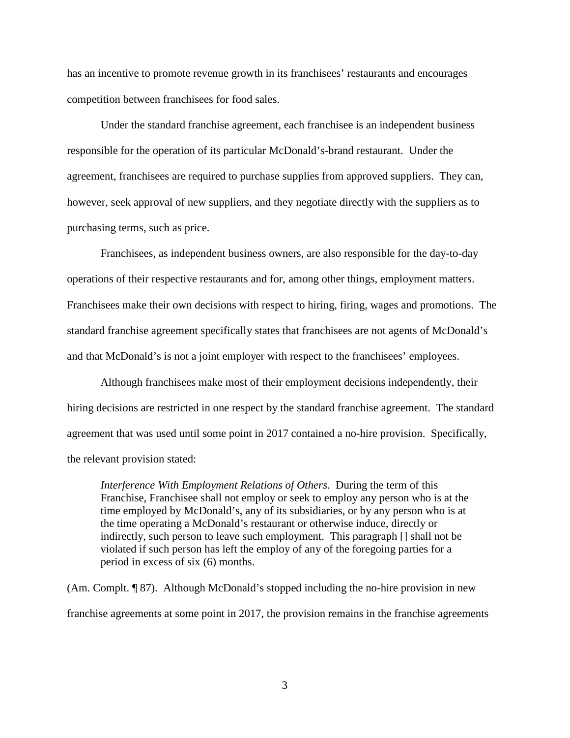has an incentive to promote revenue growth in its franchisees' restaurants and encourages competition between franchisees for food sales.

Under the standard franchise agreement, each franchisee is an independent business responsible for the operation of its particular McDonald's-brand restaurant. Under the agreement, franchisees are required to purchase supplies from approved suppliers. They can, however, seek approval of new suppliers, and they negotiate directly with the suppliers as to purchasing terms, such as price.

Franchisees, as independent business owners, are also responsible for the day-to-day operations of their respective restaurants and for, among other things, employment matters. Franchisees make their own decisions with respect to hiring, firing, wages and promotions. The standard franchise agreement specifically states that franchisees are not agents of McDonald's and that McDonald's is not a joint employer with respect to the franchisees' employees.

Although franchisees make most of their employment decisions independently, their hiring decisions are restricted in one respect by the standard franchise agreement. The standard agreement that was used until some point in 2017 contained a no-hire provision. Specifically, the relevant provision stated:

*Interference With Employment Relations of Others*. During the term of this Franchise, Franchisee shall not employ or seek to employ any person who is at the time employed by McDonald's, any of its subsidiaries, or by any person who is at the time operating a McDonald's restaurant or otherwise induce, directly or indirectly, such person to leave such employment. This paragraph [] shall not be violated if such person has left the employ of any of the foregoing parties for a period in excess of six (6) months.

(Am. Complt. ¶ 87). Although McDonald's stopped including the no-hire provision in new franchise agreements at some point in 2017, the provision remains in the franchise agreements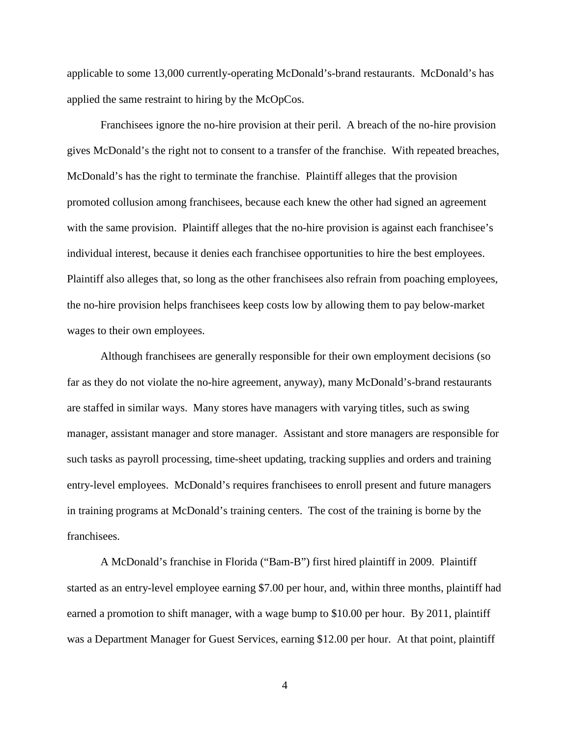applicable to some 13,000 currently-operating McDonald's-brand restaurants. McDonald's has applied the same restraint to hiring by the McOpCos.

Franchisees ignore the no-hire provision at their peril. A breach of the no-hire provision gives McDonald's the right not to consent to a transfer of the franchise. With repeated breaches, McDonald's has the right to terminate the franchise. Plaintiff alleges that the provision promoted collusion among franchisees, because each knew the other had signed an agreement with the same provision. Plaintiff alleges that the no-hire provision is against each franchisee's individual interest, because it denies each franchisee opportunities to hire the best employees. Plaintiff also alleges that, so long as the other franchisees also refrain from poaching employees, the no-hire provision helps franchisees keep costs low by allowing them to pay below-market wages to their own employees.

Although franchisees are generally responsible for their own employment decisions (so far as they do not violate the no-hire agreement, anyway), many McDonald's-brand restaurants are staffed in similar ways. Many stores have managers with varying titles, such as swing manager, assistant manager and store manager. Assistant and store managers are responsible for such tasks as payroll processing, time-sheet updating, tracking supplies and orders and training entry-level employees. McDonald's requires franchisees to enroll present and future managers in training programs at McDonald's training centers. The cost of the training is borne by the franchisees.

A McDonald's franchise in Florida ("Bam-B") first hired plaintiff in 2009. Plaintiff started as an entry-level employee earning \$7.00 per hour, and, within three months, plaintiff had earned a promotion to shift manager, with a wage bump to \$10.00 per hour. By 2011, plaintiff was a Department Manager for Guest Services, earning \$12.00 per hour. At that point, plaintiff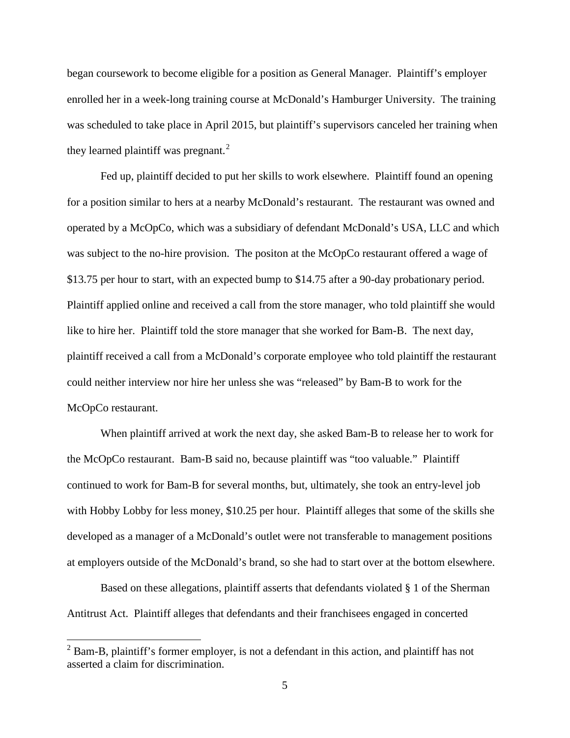began coursework to become eligible for a position as General Manager. Plaintiff's employer enrolled her in a week-long training course at McDonald's Hamburger University. The training was scheduled to take place in April 2015, but plaintiff's supervisors canceled her training when they learned plaintiff was pregnant. $^{2}$  $^{2}$  $^{2}$ 

Fed up, plaintiff decided to put her skills to work elsewhere. Plaintiff found an opening for a position similar to hers at a nearby McDonald's restaurant. The restaurant was owned and operated by a McOpCo, which was a subsidiary of defendant McDonald's USA, LLC and which was subject to the no-hire provision. The positon at the McOpCo restaurant offered a wage of \$13.75 per hour to start, with an expected bump to \$14.75 after a 90-day probationary period. Plaintiff applied online and received a call from the store manager, who told plaintiff she would like to hire her. Plaintiff told the store manager that she worked for Bam-B. The next day, plaintiff received a call from a McDonald's corporate employee who told plaintiff the restaurant could neither interview nor hire her unless she was "released" by Bam-B to work for the McOpCo restaurant.

When plaintiff arrived at work the next day, she asked Bam-B to release her to work for the McOpCo restaurant. Bam-B said no, because plaintiff was "too valuable." Plaintiff continued to work for Bam-B for several months, but, ultimately, she took an entry-level job with Hobby Lobby for less money, \$10.25 per hour. Plaintiff alleges that some of the skills she developed as a manager of a McDonald's outlet were not transferable to management positions at employers outside of the McDonald's brand, so she had to start over at the bottom elsewhere.

Based on these allegations, plaintiff asserts that defendants violated § 1 of the Sherman Antitrust Act. Plaintiff alleges that defendants and their franchisees engaged in concerted

<span id="page-4-0"></span> $2$  Bam-B, plaintiff's former employer, is not a defendant in this action, and plaintiff has not asserted a claim for discrimination.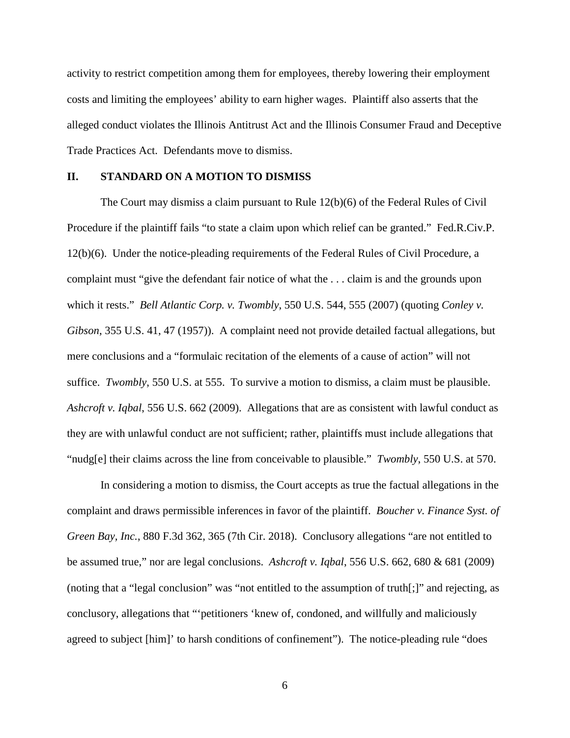activity to restrict competition among them for employees, thereby lowering their employment costs and limiting the employees' ability to earn higher wages. Plaintiff also asserts that the alleged conduct violates the Illinois Antitrust Act and the Illinois Consumer Fraud and Deceptive Trade Practices Act. Defendants move to dismiss.

## **II. STANDARD ON A MOTION TO DISMISS**

The Court may dismiss a claim pursuant to Rule 12(b)(6) of the Federal Rules of Civil Procedure if the plaintiff fails "to state a claim upon which relief can be granted." Fed.R.Civ.P. 12(b)(6). Under the notice-pleading requirements of the Federal Rules of Civil Procedure, a complaint must "give the defendant fair notice of what the . . . claim is and the grounds upon which it rests." *Bell Atlantic Corp. v. Twombly*, 550 U.S. 544, 555 (2007) (quoting *Conley v. Gibson*, 355 U.S. 41, 47 (1957)). A complaint need not provide detailed factual allegations, but mere conclusions and a "formulaic recitation of the elements of a cause of action" will not suffice. *Twombly*, 550 U.S. at 555. To survive a motion to dismiss, a claim must be plausible. *Ashcroft v. Iqbal*, 556 U.S. 662 (2009). Allegations that are as consistent with lawful conduct as they are with unlawful conduct are not sufficient; rather, plaintiffs must include allegations that "nudg[e] their claims across the line from conceivable to plausible." *Twombly*, 550 U.S. at 570.

In considering a motion to dismiss, the Court accepts as true the factual allegations in the complaint and draws permissible inferences in favor of the plaintiff. *Boucher v. Finance Syst. of Green Bay, Inc.*, 880 F.3d 362, 365 (7th Cir. 2018). Conclusory allegations "are not entitled to be assumed true," nor are legal conclusions. *Ashcroft v. Iqbal*, 556 U.S. 662, 680 & 681 (2009) (noting that a "legal conclusion" was "not entitled to the assumption of truth[;]" and rejecting, as conclusory, allegations that "'petitioners 'knew of, condoned, and willfully and maliciously agreed to subject [him]' to harsh conditions of confinement"). The notice-pleading rule "does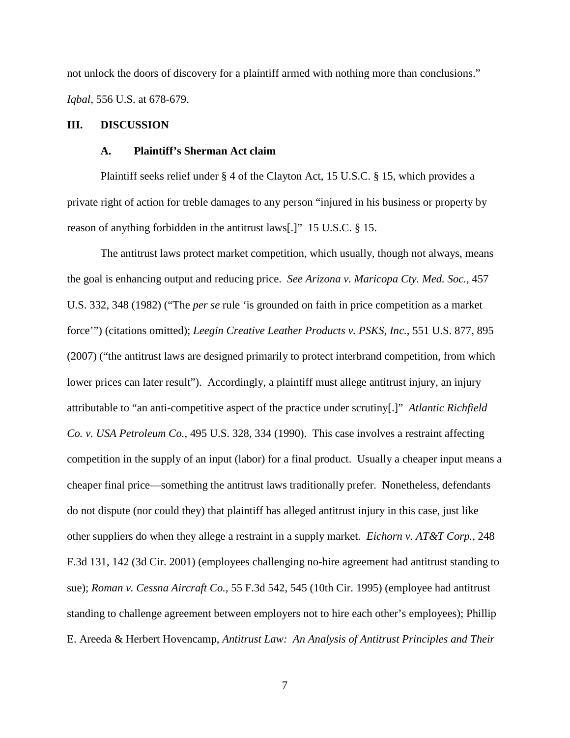not unlock the doors of discovery for a plaintiff armed with nothing more than conclusions." *Iqbal*, 556 U.S. at 678-679.

## **III. DISCUSSION**

#### **A. Plaintiff's Sherman Act claim**

Plaintiff seeks relief under § 4 of the Clayton Act, 15 U.S.C. § 15, which provides a private right of action for treble damages to any person "injured in his business or property by reason of anything forbidden in the antitrust laws[.]" 15 U.S.C. § 15.

The antitrust laws protect market competition, which usually, though not always, means the goal is enhancing output and reducing price. *See Arizona v. Maricopa Cty. Med. Soc.*, 457 U.S. 332, 348 (1982) ("The *per se* rule 'is grounded on faith in price competition as a market force'") (citations omitted); *Leegin Creative Leather Products v. PSKS, Inc.*, 551 U.S. 877, 895 (2007) ("the antitrust laws are designed primarily to protect interbrand competition, from which lower prices can later result"). Accordingly, a plaintiff must allege antitrust injury, an injury attributable to "an anti-competitive aspect of the practice under scrutiny[.]" *Atlantic Richfield Co. v. USA Petroleum Co.*, 495 U.S. 328, 334 (1990). This case involves a restraint affecting competition in the supply of an input (labor) for a final product. Usually a cheaper input means a cheaper final price—something the antitrust laws traditionally prefer. Nonetheless, defendants do not dispute (nor could they) that plaintiff has alleged antitrust injury in this case, just like other suppliers do when they allege a restraint in a supply market. *Eichorn v. AT&T Corp.*, 248 F.3d 131, 142 (3d Cir. 2001) (employees challenging no-hire agreement had antitrust standing to sue); *Roman v. Cessna Aircraft Co.*, 55 F.3d 542, 545 (10th Cir. 1995) (employee had antitrust standing to challenge agreement between employers not to hire each other's employees); Phillip E. Areeda & Herbert Hovencamp, *Antitrust Law: An Analysis of Antitrust Principles and Their*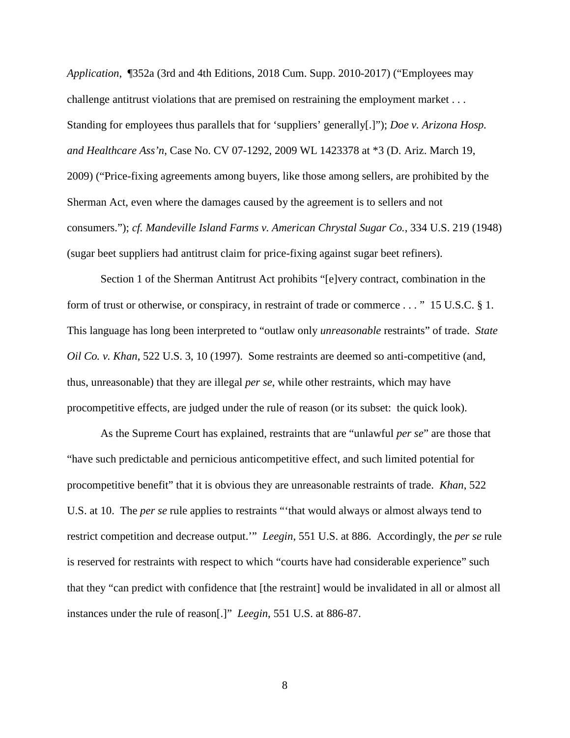*Application*, ¶352a (3rd and 4th Editions, 2018 Cum. Supp. 2010-2017) ("Employees may challenge antitrust violations that are premised on restraining the employment market . . . Standing for employees thus parallels that for 'suppliers' generally[.]"); *Doe v. Arizona Hosp. and Healthcare Ass'n*, Case No. CV 07-1292, 2009 WL 1423378 at \*3 (D. Ariz. March 19, 2009) ("Price-fixing agreements among buyers, like those among sellers, are prohibited by the Sherman Act, even where the damages caused by the agreement is to sellers and not consumers."); *cf. Mandeville Island Farms v. American Chrystal Sugar Co.*, 334 U.S. 219 (1948) (sugar beet suppliers had antitrust claim for price-fixing against sugar beet refiners).

Section 1 of the Sherman Antitrust Act prohibits "[e]very contract, combination in the form of trust or otherwise, or conspiracy, in restraint of trade or commerce . . . " 15 U.S.C. § 1. This language has long been interpreted to "outlaw only *unreasonable* restraints" of trade. *State Oil Co. v. Khan*, 522 U.S. 3, 10 (1997). Some restraints are deemed so anti-competitive (and, thus, unreasonable) that they are illegal *per se*, while other restraints, which may have procompetitive effects, are judged under the rule of reason (or its subset: the quick look).

As the Supreme Court has explained, restraints that are "unlawful *per se*" are those that "have such predictable and pernicious anticompetitive effect, and such limited potential for procompetitive benefit" that it is obvious they are unreasonable restraints of trade. *Khan*, 522 U.S. at 10. The *per se* rule applies to restraints "'that would always or almost always tend to restrict competition and decrease output.'" *Leegin*, 551 U.S. at 886. Accordingly, the *per se* rule is reserved for restraints with respect to which "courts have had considerable experience" such that they "can predict with confidence that [the restraint] would be invalidated in all or almost all instances under the rule of reason[.]" *Leegin*, 551 U.S. at 886-87.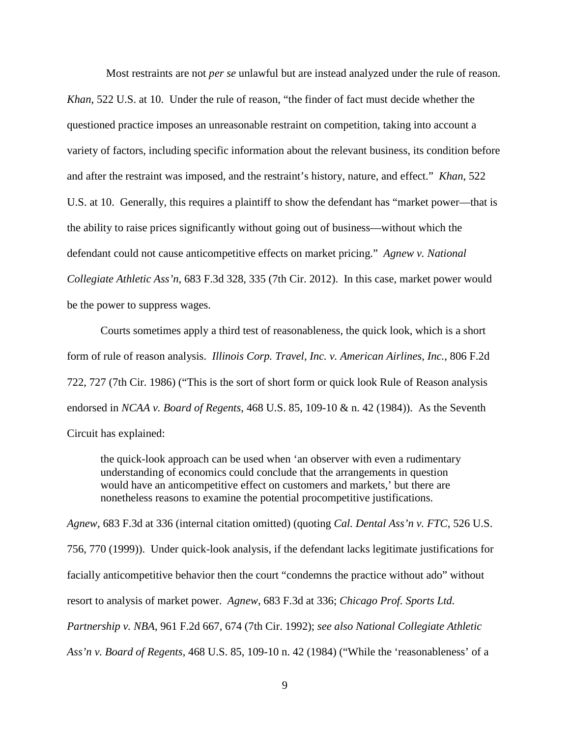Most restraints are not *per se* unlawful but are instead analyzed under the rule of reason. *Khan*, 522 U.S. at 10. Under the rule of reason, "the finder of fact must decide whether the questioned practice imposes an unreasonable restraint on competition, taking into account a variety of factors, including specific information about the relevant business, its condition before and after the restraint was imposed, and the restraint's history, nature, and effect." *Khan*, 522 U.S. at 10. Generally, this requires a plaintiff to show the defendant has "market power—that is the ability to raise prices significantly without going out of business—without which the defendant could not cause anticompetitive effects on market pricing." *Agnew v. National Collegiate Athletic Ass'n*, 683 F.3d 328, 335 (7th Cir. 2012). In this case, market power would be the power to suppress wages.

Courts sometimes apply a third test of reasonableness, the quick look, which is a short form of rule of reason analysis. *Illinois Corp. Travel, Inc. v. American Airlines, Inc.*, 806 F.2d 722, 727 (7th Cir. 1986) ("This is the sort of short form or quick look Rule of Reason analysis endorsed in *NCAA v. Board of Regents*, 468 U.S. 85, 109-10 & n. 42 (1984)). As the Seventh Circuit has explained:

the quick-look approach can be used when 'an observer with even a rudimentary understanding of economics could conclude that the arrangements in question would have an anticompetitive effect on customers and markets,' but there are nonetheless reasons to examine the potential procompetitive justifications.

*Agnew*, 683 F.3d at 336 (internal citation omitted) (quoting *Cal. Dental Ass'n v. FTC*, 526 U.S. 756, 770 (1999)). Under quick-look analysis, if the defendant lacks legitimate justifications for facially anticompetitive behavior then the court "condemns the practice without ado" without resort to analysis of market power. *Agnew*, 683 F.3d at 336; *Chicago Prof. Sports Ltd. Partnership v. NBA*, 961 F.2d 667, 674 (7th Cir. 1992); *see also National Collegiate Athletic Ass'n v. Board of Regents*, 468 U.S. 85, 109-10 n. 42 (1984) ("While the 'reasonableness' of a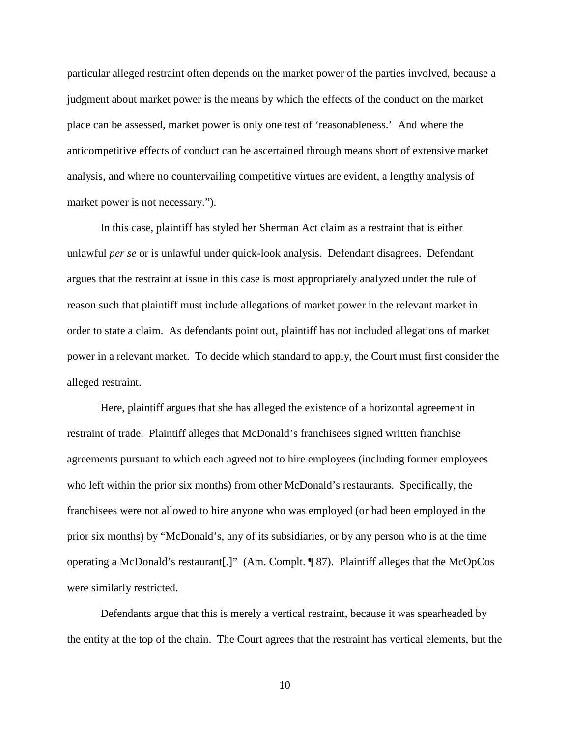particular alleged restraint often depends on the market power of the parties involved, because a judgment about market power is the means by which the effects of the conduct on the market place can be assessed, market power is only one test of 'reasonableness.' And where the anticompetitive effects of conduct can be ascertained through means short of extensive market analysis, and where no countervailing competitive virtues are evident, a lengthy analysis of market power is not necessary.").

In this case, plaintiff has styled her Sherman Act claim as a restraint that is either unlawful *per se* or is unlawful under quick-look analysis. Defendant disagrees. Defendant argues that the restraint at issue in this case is most appropriately analyzed under the rule of reason such that plaintiff must include allegations of market power in the relevant market in order to state a claim. As defendants point out, plaintiff has not included allegations of market power in a relevant market. To decide which standard to apply, the Court must first consider the alleged restraint.

Here, plaintiff argues that she has alleged the existence of a horizontal agreement in restraint of trade. Plaintiff alleges that McDonald's franchisees signed written franchise agreements pursuant to which each agreed not to hire employees (including former employees who left within the prior six months) from other McDonald's restaurants. Specifically, the franchisees were not allowed to hire anyone who was employed (or had been employed in the prior six months) by "McDonald's, any of its subsidiaries, or by any person who is at the time operating a McDonald's restaurant[.]" (Am. Complt. ¶ 87). Plaintiff alleges that the McOpCos were similarly restricted.

Defendants argue that this is merely a vertical restraint, because it was spearheaded by the entity at the top of the chain. The Court agrees that the restraint has vertical elements, but the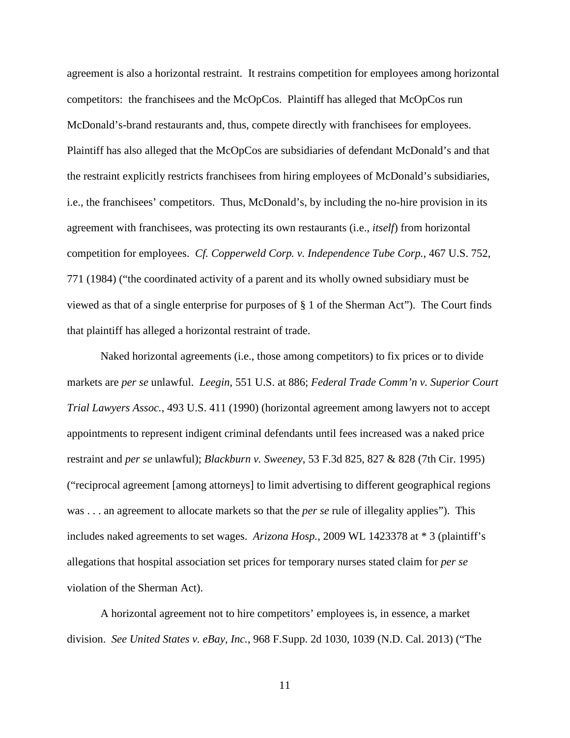agreement is also a horizontal restraint. It restrains competition for employees among horizontal competitors: the franchisees and the McOpCos. Plaintiff has alleged that McOpCos run McDonald's-brand restaurants and, thus, compete directly with franchisees for employees. Plaintiff has also alleged that the McOpCos are subsidiaries of defendant McDonald's and that the restraint explicitly restricts franchisees from hiring employees of McDonald's subsidiaries, i.e., the franchisees' competitors. Thus, McDonald's, by including the no-hire provision in its agreement with franchisees, was protecting its own restaurants (i.e., *itself*) from horizontal competition for employees. *Cf. Copperweld Corp. v. Independence Tube Corp.*, 467 U.S. 752, 771 (1984) ("the coordinated activity of a parent and its wholly owned subsidiary must be viewed as that of a single enterprise for purposes of § 1 of the Sherman Act"). The Court finds that plaintiff has alleged a horizontal restraint of trade.

Naked horizontal agreements (i.e., those among competitors) to fix prices or to divide markets are *per se* unlawful. *Leegin*, 551 U.S. at 886; *Federal Trade Comm'n v. Superior Court Trial Lawyers Assoc.*, 493 U.S. 411 (1990) (horizontal agreement among lawyers not to accept appointments to represent indigent criminal defendants until fees increased was a naked price restraint and *per se* unlawful); *Blackburn v. Sweeney*, 53 F.3d 825, 827 & 828 (7th Cir. 1995) ("reciprocal agreement [among attorneys] to limit advertising to different geographical regions was . . . an agreement to allocate markets so that the *per se* rule of illegality applies"). This includes naked agreements to set wages. *Arizona Hosp.*, 2009 WL 1423378 at \* 3 (plaintiff's allegations that hospital association set prices for temporary nurses stated claim for *per se*  violation of the Sherman Act).

A horizontal agreement not to hire competitors' employees is, in essence, a market division. *See United States v. eBay, Inc.*, 968 F.Supp. 2d 1030, 1039 (N.D. Cal. 2013) ("The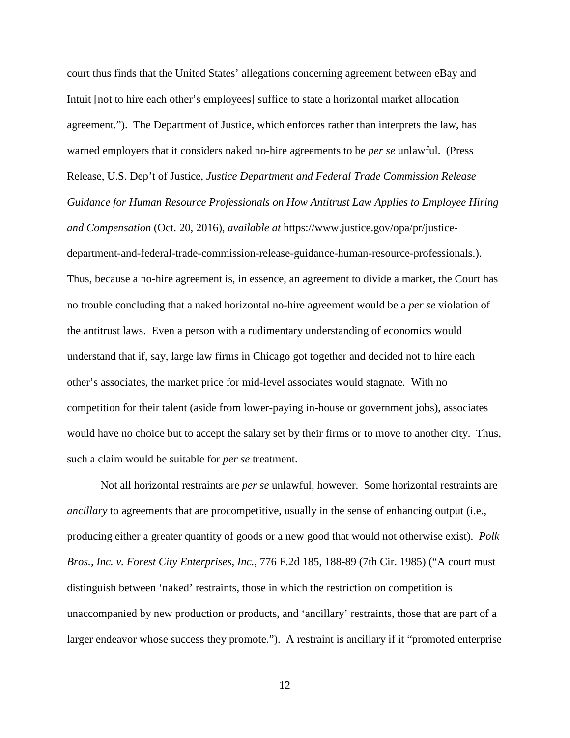court thus finds that the United States' allegations concerning agreement between eBay and Intuit [not to hire each other's employees] suffice to state a horizontal market allocation agreement."). The Department of Justice, which enforces rather than interprets the law, has warned employers that it considers naked no-hire agreements to be *per se* unlawful. (Press Release, U.S. Dep't of Justice, *Justice Department and Federal Trade Commission Release Guidance for Human Resource Professionals on How Antitrust Law Applies to Employee Hiring and Compensation* (Oct. 20, 2016), *available at* https://www.justice.gov/opa/pr/justicedepartment-and-federal-trade-commission-release-guidance-human-resource-professionals.). Thus, because a no-hire agreement is, in essence, an agreement to divide a market, the Court has no trouble concluding that a naked horizontal no-hire agreement would be a *per se* violation of the antitrust laws. Even a person with a rudimentary understanding of economics would understand that if, say, large law firms in Chicago got together and decided not to hire each other's associates, the market price for mid-level associates would stagnate. With no competition for their talent (aside from lower-paying in-house or government jobs), associates would have no choice but to accept the salary set by their firms or to move to another city. Thus, such a claim would be suitable for *per se* treatment.

Not all horizontal restraints are *per se* unlawful, however. Some horizontal restraints are *ancillary* to agreements that are procompetitive, usually in the sense of enhancing output (i.e., producing either a greater quantity of goods or a new good that would not otherwise exist). *Polk Bros., Inc. v. Forest City Enterprises, Inc.*, 776 F.2d 185, 188-89 (7th Cir. 1985) ("A court must distinguish between 'naked' restraints, those in which the restriction on competition is unaccompanied by new production or products, and 'ancillary' restraints, those that are part of a larger endeavor whose success they promote."). A restraint is ancillary if it "promoted enterprise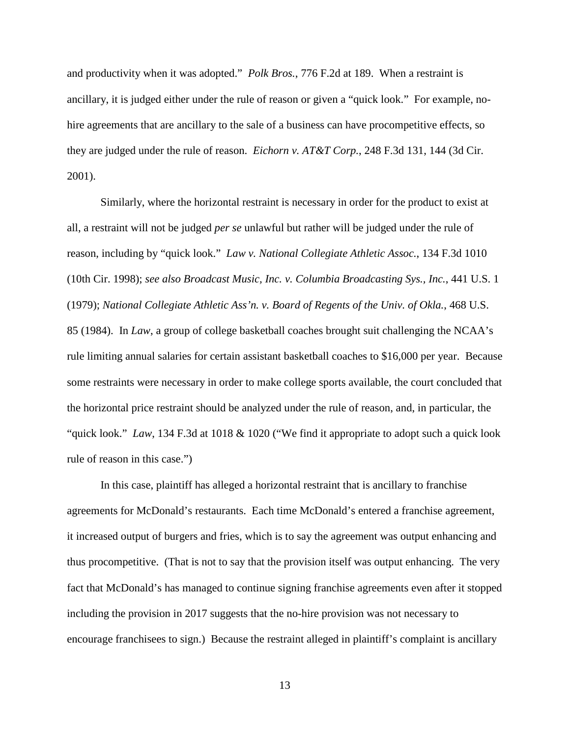and productivity when it was adopted." *Polk Bros.*, 776 F.2d at 189. When a restraint is ancillary, it is judged either under the rule of reason or given a "quick look." For example, nohire agreements that are ancillary to the sale of a business can have procompetitive effects, so they are judged under the rule of reason. *Eichorn v. AT&T Corp.*, 248 F.3d 131, 144 (3d Cir. 2001).

Similarly, where the horizontal restraint is necessary in order for the product to exist at all, a restraint will not be judged *per se* unlawful but rather will be judged under the rule of reason, including by "quick look." *Law v. National Collegiate Athletic Assoc.*, 134 F.3d 1010 (10th Cir. 1998); *see also Broadcast Music, Inc. v. Columbia Broadcasting Sys., Inc.*, 441 U.S. 1 (1979); *National Collegiate Athletic Ass'n. v. Board of Regents of the Univ. of Okla.*, 468 U.S. 85 (1984). In *Law*, a group of college basketball coaches brought suit challenging the NCAA's rule limiting annual salaries for certain assistant basketball coaches to \$16,000 per year. Because some restraints were necessary in order to make college sports available, the court concluded that the horizontal price restraint should be analyzed under the rule of reason, and, in particular, the "quick look." *Law*, 134 F.3d at 1018 & 1020 ("We find it appropriate to adopt such a quick look rule of reason in this case.")

In this case, plaintiff has alleged a horizontal restraint that is ancillary to franchise agreements for McDonald's restaurants. Each time McDonald's entered a franchise agreement, it increased output of burgers and fries, which is to say the agreement was output enhancing and thus procompetitive. (That is not to say that the provision itself was output enhancing. The very fact that McDonald's has managed to continue signing franchise agreements even after it stopped including the provision in 2017 suggests that the no-hire provision was not necessary to encourage franchisees to sign.) Because the restraint alleged in plaintiff's complaint is ancillary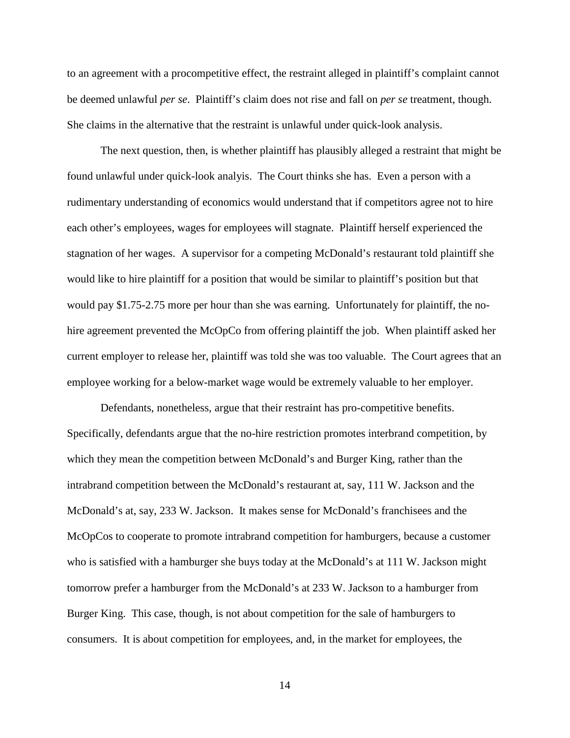to an agreement with a procompetitive effect, the restraint alleged in plaintiff's complaint cannot be deemed unlawful *per se*. Plaintiff's claim does not rise and fall on *per se* treatment, though. She claims in the alternative that the restraint is unlawful under quick-look analysis.

The next question, then, is whether plaintiff has plausibly alleged a restraint that might be found unlawful under quick-look analyis. The Court thinks she has. Even a person with a rudimentary understanding of economics would understand that if competitors agree not to hire each other's employees, wages for employees will stagnate. Plaintiff herself experienced the stagnation of her wages. A supervisor for a competing McDonald's restaurant told plaintiff she would like to hire plaintiff for a position that would be similar to plaintiff's position but that would pay \$1.75-2.75 more per hour than she was earning. Unfortunately for plaintiff, the nohire agreement prevented the McOpCo from offering plaintiff the job. When plaintiff asked her current employer to release her, plaintiff was told she was too valuable. The Court agrees that an employee working for a below-market wage would be extremely valuable to her employer.

Defendants, nonetheless, argue that their restraint has pro-competitive benefits. Specifically, defendants argue that the no-hire restriction promotes interbrand competition, by which they mean the competition between McDonald's and Burger King, rather than the intrabrand competition between the McDonald's restaurant at, say, 111 W. Jackson and the McDonald's at, say, 233 W. Jackson. It makes sense for McDonald's franchisees and the McOpCos to cooperate to promote intrabrand competition for hamburgers, because a customer who is satisfied with a hamburger she buys today at the McDonald's at 111 W. Jackson might tomorrow prefer a hamburger from the McDonald's at 233 W. Jackson to a hamburger from Burger King. This case, though, is not about competition for the sale of hamburgers to consumers. It is about competition for employees, and, in the market for employees, the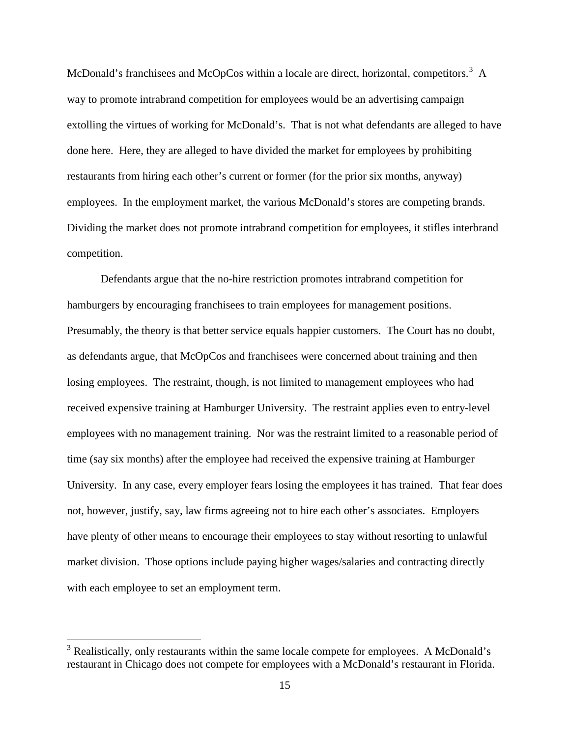McDonald's franchisees and McOpCos within a locale are direct, horizontal, competitors.<sup>[3](#page-14-0)</sup> A way to promote intrabrand competition for employees would be an advertising campaign extolling the virtues of working for McDonald's. That is not what defendants are alleged to have done here. Here, they are alleged to have divided the market for employees by prohibiting restaurants from hiring each other's current or former (for the prior six months, anyway) employees. In the employment market, the various McDonald's stores are competing brands. Dividing the market does not promote intrabrand competition for employees, it stifles interbrand competition.

Defendants argue that the no-hire restriction promotes intrabrand competition for hamburgers by encouraging franchisees to train employees for management positions. Presumably, the theory is that better service equals happier customers. The Court has no doubt, as defendants argue, that McOpCos and franchisees were concerned about training and then losing employees. The restraint, though, is not limited to management employees who had received expensive training at Hamburger University. The restraint applies even to entry-level employees with no management training. Nor was the restraint limited to a reasonable period of time (say six months) after the employee had received the expensive training at Hamburger University. In any case, every employer fears losing the employees it has trained. That fear does not, however, justify, say, law firms agreeing not to hire each other's associates. Employers have plenty of other means to encourage their employees to stay without resorting to unlawful market division. Those options include paying higher wages/salaries and contracting directly with each employee to set an employment term.

<span id="page-14-0"></span><sup>&</sup>lt;sup>3</sup> Realistically, only restaurants within the same locale compete for employees. A McDonald's restaurant in Chicago does not compete for employees with a McDonald's restaurant in Florida.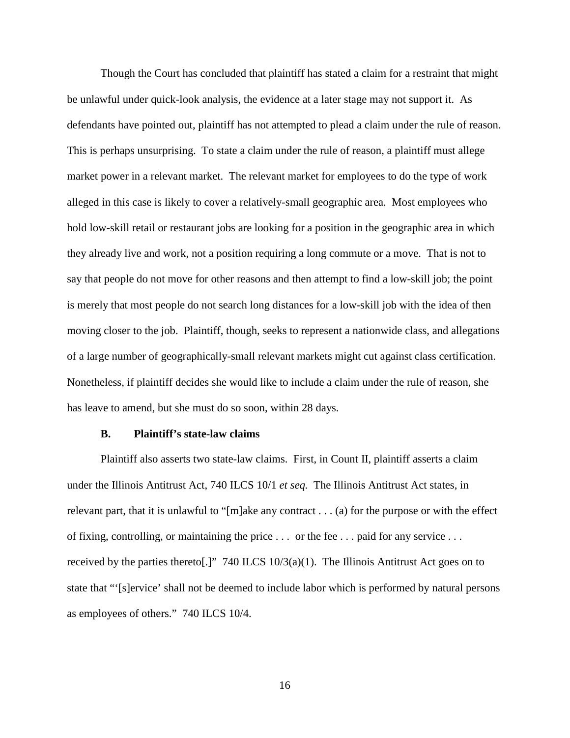Though the Court has concluded that plaintiff has stated a claim for a restraint that might be unlawful under quick-look analysis, the evidence at a later stage may not support it. As defendants have pointed out, plaintiff has not attempted to plead a claim under the rule of reason. This is perhaps unsurprising. To state a claim under the rule of reason, a plaintiff must allege market power in a relevant market. The relevant market for employees to do the type of work alleged in this case is likely to cover a relatively-small geographic area. Most employees who hold low-skill retail or restaurant jobs are looking for a position in the geographic area in which they already live and work, not a position requiring a long commute or a move. That is not to say that people do not move for other reasons and then attempt to find a low-skill job; the point is merely that most people do not search long distances for a low-skill job with the idea of then moving closer to the job. Plaintiff, though, seeks to represent a nationwide class, and allegations of a large number of geographically-small relevant markets might cut against class certification. Nonetheless, if plaintiff decides she would like to include a claim under the rule of reason, she has leave to amend, but she must do so soon, within 28 days.

#### **B. Plaintiff's state-law claims**

Plaintiff also asserts two state-law claims. First, in Count II, plaintiff asserts a claim under the Illinois Antitrust Act, 740 ILCS 10/1 *et seq.* The Illinois Antitrust Act states, in relevant part, that it is unlawful to "[m]ake any contract . . . (a) for the purpose or with the effect of fixing, controlling, or maintaining the price . . . or the fee . . . paid for any service . . . received by the parties thereto[.]" 740 ILCS  $10/3(a)(1)$ . The Illinois Antitrust Act goes on to state that "'[s]ervice' shall not be deemed to include labor which is performed by natural persons as employees of others." 740 ILCS 10/4.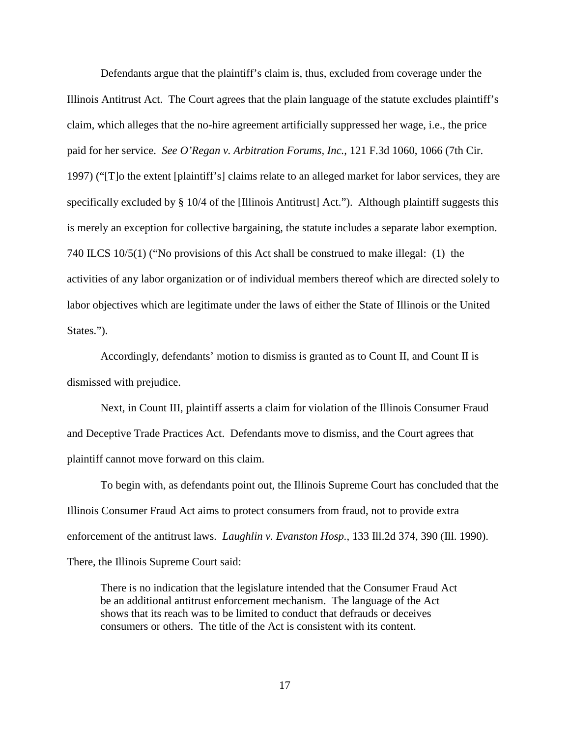Defendants argue that the plaintiff's claim is, thus, excluded from coverage under the Illinois Antitrust Act. The Court agrees that the plain language of the statute excludes plaintiff's claim, which alleges that the no-hire agreement artificially suppressed her wage, i.e., the price paid for her service. *See O'Regan v. Arbitration Forums, Inc.*, 121 F.3d 1060, 1066 (7th Cir. 1997) ("[T]o the extent [plaintiff's] claims relate to an alleged market for labor services, they are specifically excluded by § 10/4 of the [Illinois Antitrust] Act."). Although plaintiff suggests this is merely an exception for collective bargaining, the statute includes a separate labor exemption. 740 ILCS 10/5(1) ("No provisions of this Act shall be construed to make illegal: (1) the activities of any labor organization or of individual members thereof which are directed solely to labor objectives which are legitimate under the laws of either the State of Illinois or the United States.").

Accordingly, defendants' motion to dismiss is granted as to Count II, and Count II is dismissed with prejudice.

Next, in Count III, plaintiff asserts a claim for violation of the Illinois Consumer Fraud and Deceptive Trade Practices Act. Defendants move to dismiss, and the Court agrees that plaintiff cannot move forward on this claim.

To begin with, as defendants point out, the Illinois Supreme Court has concluded that the Illinois Consumer Fraud Act aims to protect consumers from fraud, not to provide extra enforcement of the antitrust laws. *Laughlin v. Evanston Hosp.*, 133 Ill.2d 374, 390 (Ill. 1990). There, the Illinois Supreme Court said:

There is no indication that the legislature intended that the Consumer Fraud Act be an additional antitrust enforcement mechanism. The language of the Act shows that its reach was to be limited to conduct that defrauds or deceives consumers or others. The title of the Act is consistent with its content.